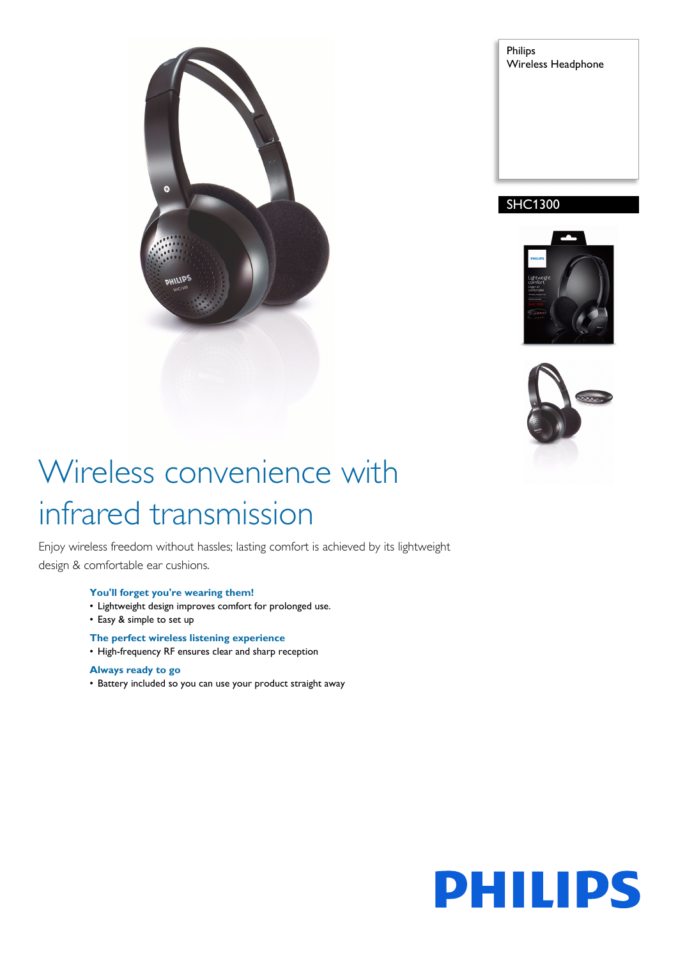

Philips Wireless Headphone

# SHC1300





# Wireless convenience with infrared transmission

Enjoy wireless freedom without hassles; lasting comfort is achieved by its lightweight design & comfortable ear cushions.

### **You'll forget you're wearing them!**

- Lightweight design improves comfort for prolonged use.
- Easy & simple to set up
- **The perfect wireless listening experience**
- High-frequency RF ensures clear and sharp reception

### **Always ready to go**

• Battery included so you can use your product straight away